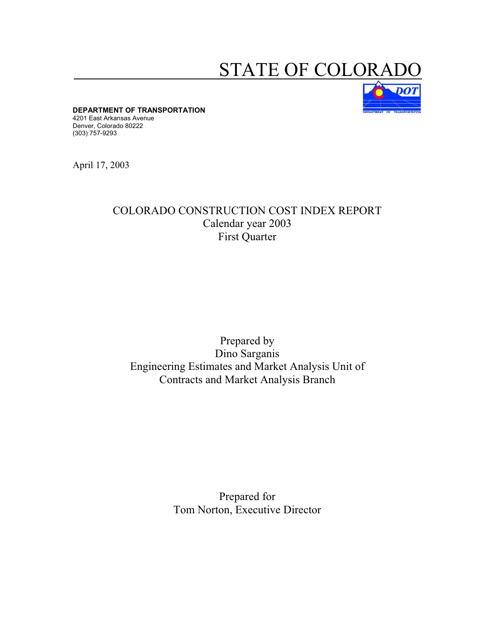## STATE OF COLORA



**DEPARTMENT OF TRANSPORTATION** 

4201 East Arkansas Avenue Denver, Colorado 80222 (303) 757-9293

April 17, 2003

## COLORADO CONSTRUCTION COST INDEX REPORT Calendar year 2003 First Quarter

## Prepared by Dino Sarganis Engineering Estimates and Market Analysis Unit of Contracts and Market Analysis Branch

Prepared for Tom Norton, Executive Director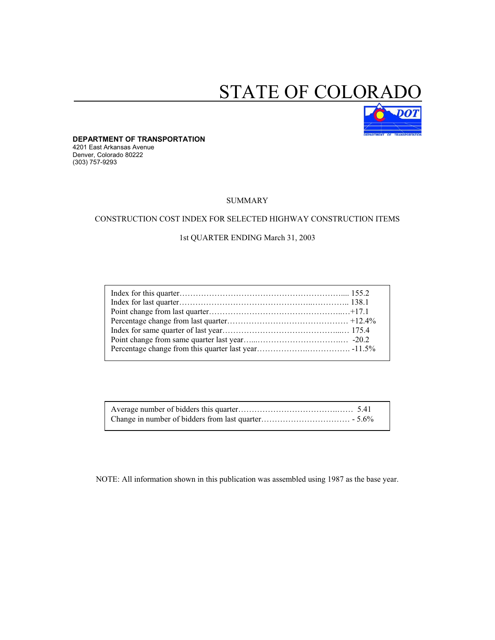# STATE OF COLORAL



**DEPARTMENT OF TRANSPORTATION**  4201 East Arkansas Avenue Denver, Colorado 80222 (303) 757-9293

#### SUMMARY

#### CONSTRUCTION COST INDEX FOR SELECTED HIGHWAY CONSTRUCTION ITEMS

#### 1st QUARTER ENDING March 31, 2003

NOTE: All information shown in this publication was assembled using 1987 as the base year.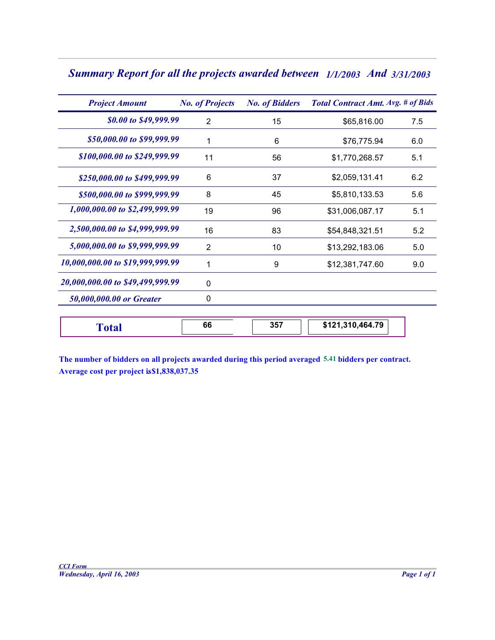| <b>Summary Report for all the projects awarded between</b> 1/1/2003 And 3/31/2003 |  |  |  |
|-----------------------------------------------------------------------------------|--|--|--|
|-----------------------------------------------------------------------------------|--|--|--|

| <b>Project Amount</b>            | <b>No. of Projects</b> | <b>No. of Bidders</b> | <b>Total Contract Amt. Avg. # of Bids</b> |     |
|----------------------------------|------------------------|-----------------------|-------------------------------------------|-----|
| \$0.00 to \$49,999.99            | 2                      | 15                    | \$65,816.00                               | 7.5 |
| \$50,000.00 to \$99,999.99       |                        | 6                     | \$76,775.94                               | 6.0 |
| \$100,000.00 to \$249,999.99     | 11                     | 56                    | \$1,770,268.57                            | 5.1 |
| \$250,000.00 to \$499,999.99     | 6                      | 37                    | \$2,059,131.41                            | 6.2 |
| \$500,000.00 to \$999,999.99     | 8                      | 45                    | \$5,810,133.53                            | 5.6 |
| 1,000,000.00 to \$2,499,999.99   | 19                     | 96                    | \$31,006,087.17                           | 5.1 |
| 2,500,000.00 to \$4,999,999.99   | 16                     | 83                    | \$54,848,321.51                           | 5.2 |
| 5,000,000.00 to \$9,999,999.99   | 2                      | 10                    | \$13,292,183.06                           | 5.0 |
| 10,000,000.00 to \$19,999,999.99 |                        | 9                     | \$12,381,747.60                           | 9.0 |
| 20,000,000.00 to \$49,499,999.99 | $\Omega$               |                       |                                           |     |
| 50,000,000.00 or Greater         | 0                      |                       |                                           |     |

| 10,464.79<br>357<br><br>oτ<br>JJ.<br>. |  |  |  |  |
|----------------------------------------|--|--|--|--|
|----------------------------------------|--|--|--|--|

**The number of bidders on all projects awarded during this period averaged 5.41 bidders per contract. Average cost per project is. \$1,838,037.35**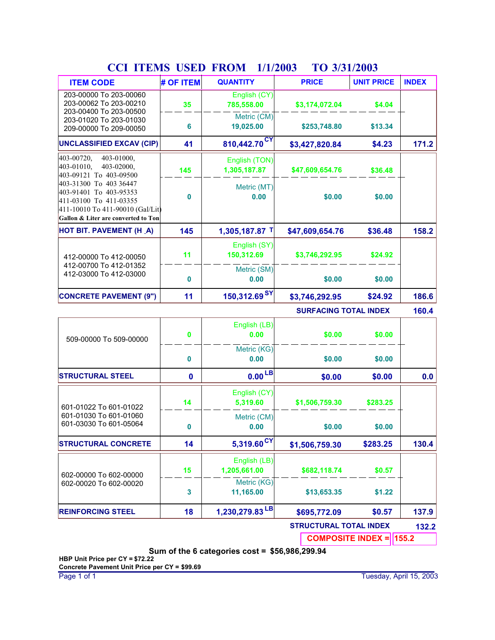| <b>ITEM CODE</b>                                                                                                                                      | # OF ITEM | <b>QUANTITY</b>               | <b>PRICE</b>                 | <b>UNIT PRICE</b> | <b>INDEX</b> |
|-------------------------------------------------------------------------------------------------------------------------------------------------------|-----------|-------------------------------|------------------------------|-------------------|--------------|
| 203-00000 To 203-00060<br>203-00062 To 203-00210<br>203-00400 To 203-00500                                                                            | 35        | English (CY)<br>785,558.00    | \$3,174,072.04               | \$4.04            |              |
| 203-01020 To 203-01030<br>209-00000 To 209-00050                                                                                                      | 6         | Metric (CM)<br>19,025.00      | \$253,748.80                 | \$13.34           |              |
| <b>UNCLASSIFIED EXCAV (CIP)</b>                                                                                                                       | 41        | 810,442.70 <sup>CY</sup>      | \$3,427,820.84               | \$4.23            | 171.2        |
| 403-00720,<br>403-01000,<br>403-01010,<br>403-02000,<br>403-09121 To 403-09500                                                                        | 145       | English (TON)<br>1,305,187.87 | \$47,609,654.76              | \$36.48           |              |
| 403-31300 To 403 36447<br>403-91401 To 403-95353<br>411-03100 To 411-03355<br>411-10010 To 411-90010 (Gal/Lit)<br>Gallon & Liter are converted to Ton | 0         | Metric (MT)<br>0.00           | \$0.00                       | \$0.00            |              |
| <b>HOT BIT. PAVEMENT (H_A)</b>                                                                                                                        | 145       | 1,305,187.87 T                | \$47,609,654.76              | \$36.48           | 158.2        |
| 412-00000 To 412-00050                                                                                                                                | 11        | English (SY)<br>150,312.69    | \$3,746,292.95               | \$24.92           |              |
| 412-00700 To 412-01352<br>412-03000 To 412-03000                                                                                                      | 0         | Metric (SM)<br>0.00           | \$0.00                       | \$0.00            |              |
| <b>CONCRETE PAVEMENT (9")</b>                                                                                                                         | 11        | 150,312.69 <sup>SY</sup>      | \$3,746,292.95               | \$24.92           | 186.6        |
|                                                                                                                                                       |           |                               | <b>SURFACING TOTAL INDEX</b> |                   | 160.4        |
| 509-00000 To 509-00000                                                                                                                                | 0         | English (LB)<br>0.00          | \$0.00                       | \$0.00            |              |
|                                                                                                                                                       | n         | Metric (KG)<br>0.00           | en nn                        | <b>CO OO</b>      |              |

### **CCI ITEMS USED FROM TO 1/1/2003 3/31/2003**

|                                                  | $\bf{0}$ | Cilgiisti (LD)<br>0.00     | \$0.00                        | \$0.00   |       |
|--------------------------------------------------|----------|----------------------------|-------------------------------|----------|-------|
| 509-00000 To 509-00000                           |          |                            |                               |          |       |
|                                                  |          | Metric (KG)                |                               |          |       |
|                                                  | $\bf{0}$ | 0.00                       | \$0.00                        | \$0.00   |       |
| <b>STRUCTURAL STEEL</b>                          | 0        | $0.00$ <sub>LB</sub>       | \$0.00                        | \$0.00   | 0.0   |
| 601-01022 To 601-01022                           | 14       | English (CY)<br>5,319.60   | \$1,506,759.30                | \$283.25 |       |
| 601-01030 To 601-01060<br>601-03030 To 601-05064 | $\bf{0}$ | Metric (CM)<br>0.00        | \$0.00                        | \$0.00   |       |
| <b>ISTRUCTURAL CONCRETE</b>                      | 14       | 5,319.60 <sup>CY</sup>     | \$1,506,759.30                | \$283.25 | 130.4 |
|                                                  |          | English (LB)               |                               |          |       |
| 602-00000 To 602-00000                           | 15       | 1,205,661.00               | \$682,118.74                  | \$0.57   |       |
| 602-00020 To 602-00020                           |          | Metric (KG)                |                               |          |       |
|                                                  | 3        | 11,165.00                  | \$13,653.35                   | \$1.22   |       |
| <b>REINFORCING STEEL</b>                         | 18       | 1,230,279.83 <sup>LB</sup> | \$695,772.09                  | \$0.57   | 137.9 |
|                                                  |          |                            | <b>STRUCTURAL TOTAL INDEX</b> |          | 132.2 |
|                                                  |          |                            |                               |          |       |

**COMPOSITE INDEX = 155.2** 

**Sum of the 6 categories cost = \$56,986,299.94**

**HBP Unit Price per CY = \$72.22 Concrete Pavement Unit Price per CY = \$99.69**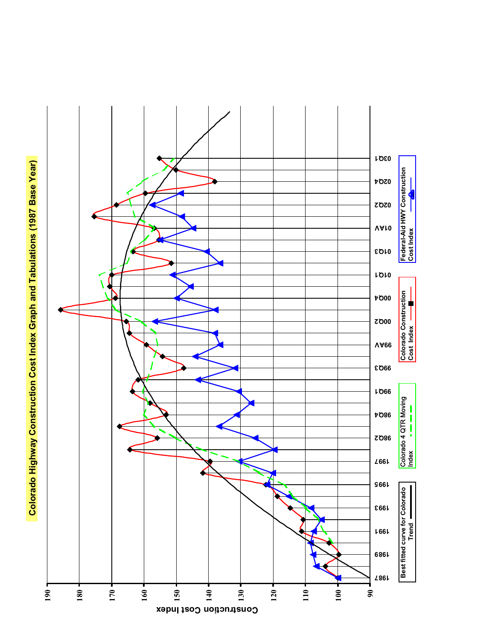

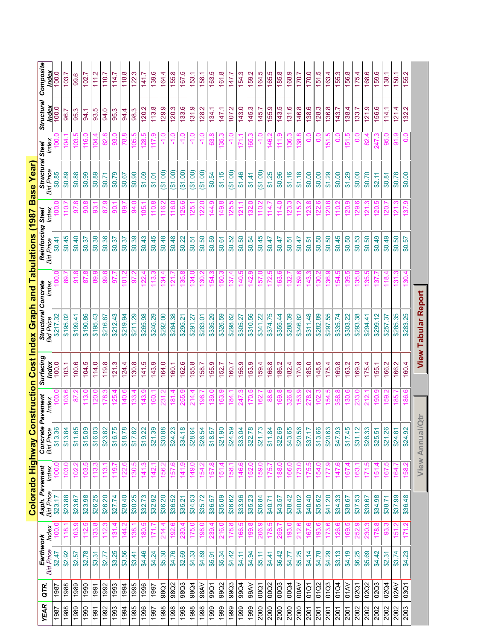|             |             |                               |                |                                    |                            |                              |                   |               | Colorado Highway Construction Cost Index Graph and Tabulations (1987 Base Year) |                |                                       |                 |                         |                      |                     |                  |
|-------------|-------------|-------------------------------|----------------|------------------------------------|----------------------------|------------------------------|-------------------|---------------|---------------------------------------------------------------------------------|----------------|---------------------------------------|-----------------|-------------------------|----------------------|---------------------|------------------|
| <b>YEAR</b> | QTR.        | Earthwork<br><b>Bid Price</b> | Index          | Asph. Pavement<br><b>Bid Price</b> | Index                      | Concrete<br><b>Bid Price</b> | Pavement<br>Index | Surfacing     | <b>Structural Concrete</b><br>Bid Price Index                                   | Index          | Reinforcing Steel<br><b>Bid Price</b> | Index           | Structural<br>Bid Price | hdex<br><b>Steel</b> | Structural<br>Index | Composite        |
| 1987        | 1987        | \$2.47                        |                | \$23.17                            |                            | \$13.36                      |                   | ndex<br>100.0 | \$217.32                                                                        |                | \$0.41                                |                 | \$0.85                  |                      | 100.0               | 100.0            |
| 1988        | 1988        | \$2.92                        | $\frac{8}{11}$ | \$23.88                            | 103                        | \$13.84                      | ဒ                 | 103.1         | \$195.02                                                                        |                | \$0.45                                | $\overline{0}$  | \$0.89                  | 104                  | 96.                 | 103              |
| 1989        | 1989        | \$2.57                        | 103            | \$23.67                            | 102                        | \$11.65                      | ္စ                | 100.6         | \$199.41                                                                        | 91.8           | \$0.40                                | 5               | \$0.88                  | <u>လ</u><br>103      | ო<br>95             | 99.6             |
| 1990        | 1990        | \$2.78                        | 112.           | \$23.98                            | 103                        | \$15.09                      | 113.              | 104.5         | \$190.86                                                                        | 87.8           | \$0.37                                | 8               | \$0.99                  | 116.0                | 94.1                | 102              |
| 1991        | 1991        | \$3.31                        | 133.           | \$26.25                            | $\frac{3}{13}$             | \$16.03                      | $\frac{1}{20}$    | 114.0         | \$195.43                                                                        | 89.9           | \$0.38                                | ങ്              | \$0.89                  | 104.4                | 93.5                | 111.2            |
| 1992        | 1992        | \$2.77                        | 112            | \$26.20                            | $\frac{13}{2}$             | \$23.82                      | 178               | 119.8         | \$216.87                                                                        | 99.8           | \$0.36                                | 52              | \$0.71                  | 82.8                 | 94.0                | 110.7            |
| 1993        | 1993        | \$3.25                        | $\frac{5}{13}$ | \$27.74                            | 119                        | \$16.75                      | 125               | 121.3         | \$212.43                                                                        | 5              | \$0.37                                | 80              | \$0.79                  | 93.0                 | 95.3                | 114.7            |
| 1994        | 1994        | \$3.56                        | 144            | \$28.40                            | 122                        | \$18.78                      | $\frac{1}{40}$    | 124.4         | \$219.94                                                                        | δ              | \$0.37                                | 88              | \$0.67                  | $\infty$<br><u>დ</u> | 94.4                | $\infty$<br>118. |
| 1995        | 1995        | \$3.41                        | <u>ಣ</u>       | \$30.25                            | <u>ვე</u>                  | \$17.82                      | 133               | 130.8         | \$211.29                                                                        | بہ<br>5        | \$0.39                                | 94.0            | \$0.90                  | 5<br>8               | 98.3                | ო<br>122.        |
| 1996        | 1996        | \$4.46                        | 180.5          | \$32.73                            | 141.3                      | \$19.22                      | 143.              | 141.5         | \$265.98                                                                        | 122.           | \$0.43                                | 105.            | \$1.09                  | 128.5                | 120.2               | 141.7            |
| 1997        | 1997        | \$4.24                        | 171.           | \$32.92                            | 142.                       | \$21.39                      | 160.              | 143.9         | \$246.29                                                                        | 113.3          | \$0.45                                | 110.8           | \$1.01                  | 117.9                | 113.8               | 139.6            |
| 1998        | 98Q1        | \$5.30                        | 214.4          | \$36.20                            | 156.2                      | \$30.88                      | 231.              | 164.0         | \$292.00                                                                        | 134.4          | \$0.48                                | 116.2           | (61.00)                 | $-1.0$               | 129.9               | 164.4            |
| 1998        | 98Q2        | \$4.76                        | 192.           | \$36.52                            | 157                        | \$24.23                      | 181               | 160.1         | \$264.38                                                                        | 121            | \$0.48                                | 116.            | (61.00)                 | $-1.0$               | 120.3               | 155.8            |
| 1998        | 98Q3        | \$2.69                        | 230            | \$35.21                            | <u>ග</u><br>$\frac{14}{1}$ | \$34.18                      | 255               | 162.6         | \$295.21                                                                        | œ<br>35.       | \$0.22                                | 8               | (1.00)                  | Q                    | 133.6               | 5<br>167         |
| 1998        | 98Q4        | \$4.33                        | 175.0          | \$34.53                            | 149.                       | \$28.64                      | 214               | 155.8         | \$291.27                                                                        | 34.0           | \$0.51                                | 125.            | (61.00)                 | $-1.0$               | 131.9               | 153.             |
| 1998        | 98AV        | \$4.89                        | 198.0          | \$35.72                            | 154.                       | \$26.54                      | 198.              | 158.7         | \$283.01                                                                        | 130.2          | \$0.50                                | Q<br>122.       | (1.00)                  | $-1.0$               | 128.2               | 158.             |
| 1999        | 99Q1        | \$5.91                        | 239.4          | \$36.57                            | 157.                       | \$18.57                      | 139.0             | 155.9         | \$335.29                                                                        | 154.3          | \$0.59                                | 144.9           | \$0.54                  | 63.8                 | 134.1               | 163.5            |
| 1999        | 99Q2        | \$5.34                        | 216.0          | \$35.09                            | 151.                       | \$21.90                      | 163.              | 152.7         | \$326.59                                                                        | 150.3          | \$0.61                                | 149.8           | \$1.15                  | 35.3                 | 147.1               | 161.8            |
| 1999        | 99Q3        | \$4.42                        | 178.8          | \$36.62                            | 158.                       | \$24.59                      | 184               | 160.7         | \$298.62                                                                        | 137            | \$0.52                                | ഥ<br>125        | (61.00)                 | Q                    | 107.2               | 147.7            |
| 1999        | 99Q4        | \$4.11                        | 166.           | \$33.96                            | 146.                       | \$33.04                      | 247               | 156.9         | \$305.27                                                                        | ယ္<br>140.     | \$0.50                                | $\overline{21}$ | \$1.46                  | 71                   | 143.0               | က<br>154.        |
| 1999        | 99AV        | \$4.94                        | 199.8          | \$35.23                            | <b>S2.</b>                 | \$22.78                      | $\overline{170}$  | 153.9         | \$310.56                                                                        | 142.9          | \$0.54                                | <u>ಜ</u>        | \$1.41                  | 65.3                 | 145.3               | 159.2            |
| 2000        | 00Q1        | \$5.11                        | 206.9          | \$36.84                            | 159.0                      | \$21.73                      | 162.              | 159.4         | \$341.22                                                                        | 157.0          | \$0.45                                | 110.2           | (90.13)                 | $-1.0$               | 145.7               | 164.5            |
| 2000        | 00Q2        | \$4.41                        | 178.5          | \$40.71                            | 175.                       | \$11.84                      | 88.6              | 166.8         | \$374.75                                                                        | 172.5          | \$0.47                                | 114.7           | \$1.25                  | 146.2                | 155.9               | 165.5            |
| 2000        | 00Q3        | \$6.42                        | 259.           | \$43.57                            | 188.0                      | \$22.69                      | 169.8             | 186.2         | \$355.44                                                                        | 163.6          | \$0.47                                | 114.0           | \$0.96                  | 111.9                | 143.5               | 185.8            |
| 2000        | 00Q4        | \$4.77                        | 193.           | \$38.42                            | 166.                       | \$43.65                      | 326.              | 182.4         | \$288.39                                                                        | 132            | \$0.51                                |                 | \$1.16                  | 36                   | 131.6               | 168.9            |
| 2000        | <b>OOAV</b> | \$5.25                        | 212            | \$40.02                            |                            | \$20.56                      | အိ                | 170.8         | \$346.82                                                                        | တ္တဲ           | \$0.47                                | 115             | \$1.18                  |                      | 146.8               | 170.7            |
| 2001        | 01Q1        | \$4.14                        | 167            | \$40.40                            | 175                        | \$37.17                      | 278               | 185.0         | \$311.48                                                                        | $\frac{43}{5}$ | \$0.51                                |                 | \$0.00                  | $\frac{0}{0}$        | 138.6               | 170.0            |
| 2001        | 01Q2        | \$4.78                        | 193.6          | \$35.62                            | 154.                       | \$13.66                      | 102               | 148.5         | \$282.89                                                                        | ဒ္တဝ           | \$0.50                                |                 | \$0.00                  | $\frac{0}{0}$        | 128.3               | 151.5            |
| 2001        | 01Q3        | \$4.29                        | I73.           | \$41.20                            | ≒                          | \$20.63                      | 154               | 175.4         | \$297.55                                                                        | 36.9           | \$0.50                                | <u>ន</u>        | \$1.29                  | 51.5                 | 136.8               | 163.4            |
| 2001        | 01Q4        | \$3.13                        | 126.           | \$34.33                            | 147                        | \$47.93                      | 358.              | 169.8         | \$335.74                                                                        | 54.5           | \$0.45                                | <u>io:</u>      | \$0.00                  | $\frac{0}{0}$        | 143.7               | 155.3            |
| 2001        | <b>O1AV</b> | \$4.19                        | 69             | \$38.67                            | 167                        | \$17.45                      | 130               | 163.2         | \$303.22                                                                        | ഥ              | 60.50                                 |                 | \$1.29                  | بہ<br>51             | 138.4               | 156.8            |
| 2002        | 02Q1        | \$6.25                        | ္တ             | \$37.53                            | 163                        | \$31.12                      |                   | က္<br>169.    | \$293.38                                                                        |                | \$0.53                                |                 | \$0.00                  |                      | 133.                | 175.4            |
| 2002        | 02Q2        | \$5.69                        | 230            | \$39.67                            | 171                        | \$28.33                      |                   | 175.4         | \$294.41                                                                        | မ<br>35        | \$0.50                                | <u> 인</u>       | \$0.70                  | 82                   | 121.9               | ဖ<br>168.        |
| 2002        | 02Q3        | \$4.42                        | 178.8          | \$34.98                            | 151.                       | \$25.51                      | 190.              | 155.1         | \$299.12                                                                        | 37             | 66.03                                 | $\mathsf{S}$    | \$2.11                  | $\overline{47}$      | 156.6               | 159.6            |
| 2002        | 02Q4        | \$2.31                        | <u>တွ</u>      | \$38.71                            | 167.                       | \$21.26                      | 159.              | 166.2         | \$257.37                                                                        | 118.4          | \$0.49                                | <u>20</u>       | \$0.81                  | 95.0                 | 114.1               | 138.1            |
| 2002        | 02AV        | \$3.74                        | 51.            | \$37.99                            | 164.                       | \$24.81                      | 185.              | 166.2         | \$285.35                                                                        | 31.3           | \$0.50                                | $\overline{21}$ | \$0.78                  | 91.9                 | 121.4               | 150.1            |
| 2003        | 03Q1        | \$4.23                        | 171.2          | \$36.48                            | 158.2                      | \$24.92                      | 186.6             | 160.4         | \$283.25                                                                        | 30.4           | \$0.57                                | 57              | \$0.00                  | 0.0                  | 132.2               | 155.2            |
|             |             |                               |                |                                    |                            | <b>View Annual/Qtn</b>       |                   |               | <b>View Tabular Report</b>                                                      |                |                                       |                 |                         |                      |                     |                  |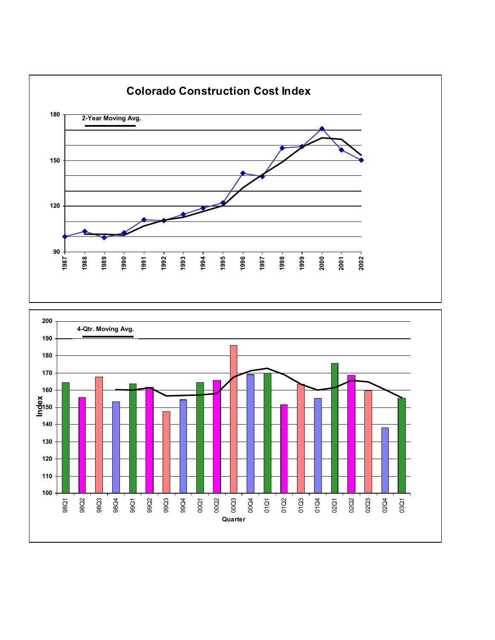